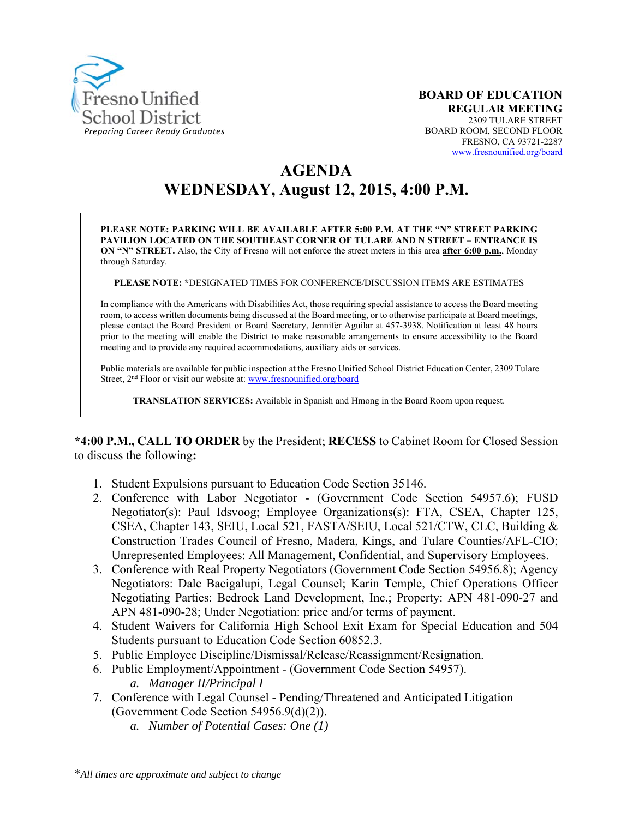

# **AGENDA WEDNESDAY, August 12, 2015, 4:00 P.M.**

**PLEASE NOTE: PARKING WILL BE AVAILABLE AFTER 5:00 P.M. AT THE "N" STREET PARKING PAVILION LOCATED ON THE SOUTHEAST CORNER OF TULARE AND N STREET – ENTRANCE IS ON "N" STREET.** Also, the City of Fresno will not enforce the street meters in this area **after 6:00 p.m.**, Monday through Saturday.

**PLEASE NOTE: \***DESIGNATED TIMES FOR CONFERENCE/DISCUSSION ITEMS ARE ESTIMATES

In compliance with the Americans with Disabilities Act, those requiring special assistance to access the Board meeting room, to access written documents being discussed at the Board meeting, or to otherwise participate at Board meetings, please contact the Board President or Board Secretary, Jennifer Aguilar at 457-3938. Notification at least 48 hours prior to the meeting will enable the District to make reasonable arrangements to ensure accessibility to the Board meeting and to provide any required accommodations, auxiliary aids or services.

Public materials are available for public inspection at the Fresno Unified School District Education Center, 2309 Tulare Street, 2nd Floor or visit our website at: www.fresnounified.org/board

**TRANSLATION SERVICES:** Available in Spanish and Hmong in the Board Room upon request.

**\*4:00 P.M., CALL TO ORDER** by the President; **RECESS** to Cabinet Room for Closed Session to discuss the following**:** 

- 1. Student Expulsions pursuant to Education Code Section 35146.
- 2. Conference with Labor Negotiator (Government Code Section 54957.6); FUSD Negotiator(s): Paul Idsvoog; Employee Organizations(s): FTA, CSEA, Chapter 125, CSEA, Chapter 143, SEIU, Local 521, FASTA/SEIU, Local 521/CTW, CLC, Building & Construction Trades Council of Fresno, Madera, Kings, and Tulare Counties/AFL-CIO; Unrepresented Employees: All Management, Confidential, and Supervisory Employees.
- 3. Conference with Real Property Negotiators (Government Code Section 54956.8); Agency Negotiators: Dale Bacigalupi, Legal Counsel; Karin Temple, Chief Operations Officer Negotiating Parties: Bedrock Land Development, Inc.; Property: APN 481-090-27 and APN 481-090-28; Under Negotiation: price and/or terms of payment.
- 4. Student Waivers for California High School Exit Exam for Special Education and 504 Students pursuant to Education Code Section 60852.3.
- 5. Public Employee Discipline/Dismissal/Release/Reassignment/Resignation.
- 6. Public Employment/Appointment (Government Code Section 54957). *a. Manager II/Principal I*
- 7. Conference with Legal Counsel Pending/Threatened and Anticipated Litigation (Government Code Section 54956.9(d)(2)).
	- *a. Number of Potential Cases: One (1)*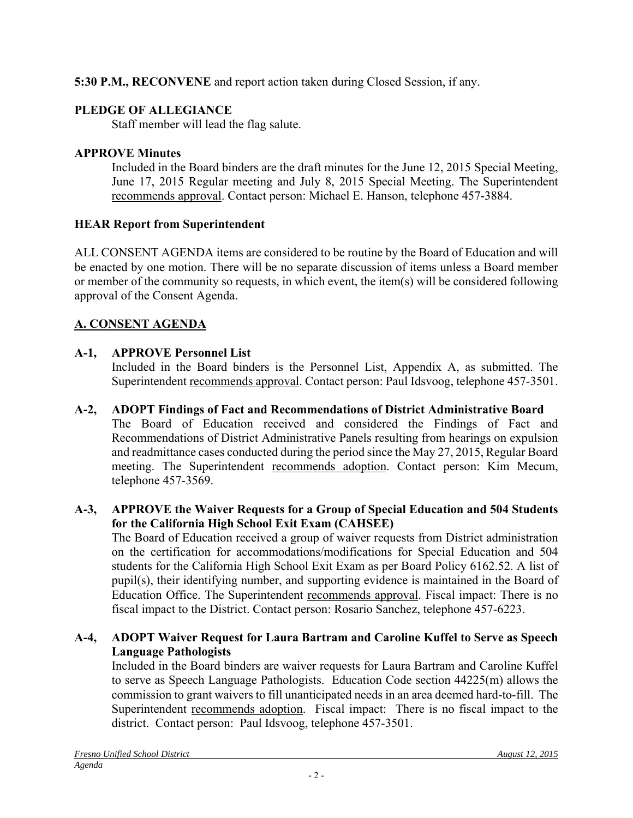**5:30 P.M., RECONVENE** and report action taken during Closed Session, if any.

## **PLEDGE OF ALLEGIANCE**

Staff member will lead the flag salute.

## **APPROVE Minutes**

Included in the Board binders are the draft minutes for the June 12, 2015 Special Meeting, June 17, 2015 Regular meeting and July 8, 2015 Special Meeting. The Superintendent recommends approval. Contact person: Michael E. Hanson, telephone 457-3884.

## **HEAR Report from Superintendent**

ALL CONSENT AGENDA items are considered to be routine by the Board of Education and will be enacted by one motion. There will be no separate discussion of items unless a Board member or member of the community so requests, in which event, the item(s) will be considered following approval of the Consent Agenda.

## **A. CONSENT AGENDA**

## **A-1, APPROVE Personnel List**

Included in the Board binders is the Personnel List, Appendix A, as submitted. The Superintendent recommends approval. Contact person: Paul Idsvoog, telephone 457-3501.

## **A-2, ADOPT Findings of Fact and Recommendations of District Administrative Board**

The Board of Education received and considered the Findings of Fact and Recommendations of District Administrative Panels resulting from hearings on expulsion and readmittance cases conducted during the period since the May 27, 2015, Regular Board meeting. The Superintendent recommends adoption. Contact person: Kim Mecum, telephone 457-3569.

## **A-3, APPROVE the Waiver Requests for a Group of Special Education and 504 Students for the California High School Exit Exam (CAHSEE)**

The Board of Education received a group of waiver requests from District administration on the certification for accommodations/modifications for Special Education and 504 students for the California High School Exit Exam as per Board Policy 6162.52. A list of pupil(s), their identifying number, and supporting evidence is maintained in the Board of Education Office. The Superintendent recommends approval. Fiscal impact: There is no fiscal impact to the District. Contact person: Rosario Sanchez, telephone 457-6223.

## **A-4, ADOPT Waiver Request for Laura Bartram and Caroline Kuffel to Serve as Speech Language Pathologists**

Included in the Board binders are waiver requests for Laura Bartram and Caroline Kuffel to serve as Speech Language Pathologists. Education Code section 44225(m) allows the commission to grant waivers to fill unanticipated needs in an area deemed hard-to-fill. The Superintendent recommends adoption. Fiscal impact: There is no fiscal impact to the district. Contact person: Paul Idsvoog, telephone 457-3501.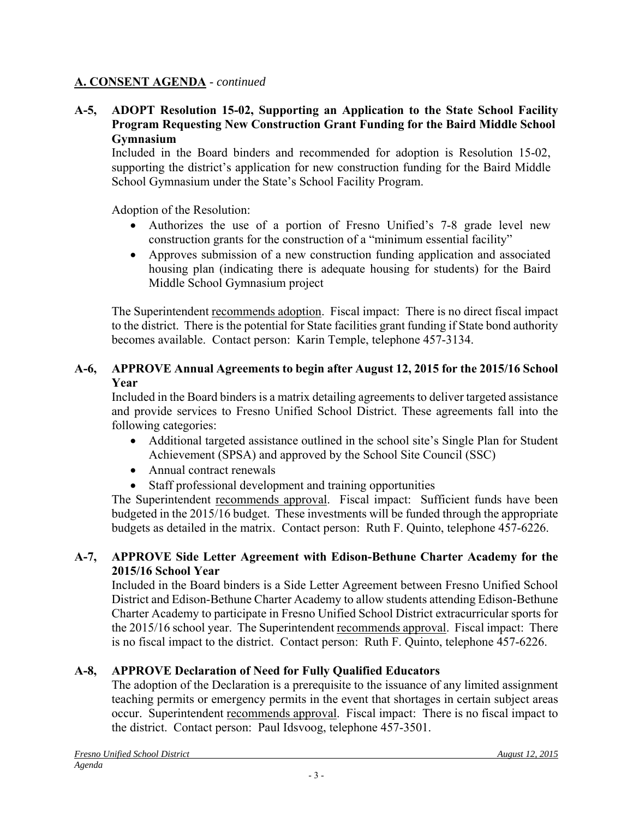#### **A-5, ADOPT Resolution 15-02, Supporting an Application to the State School Facility Program Requesting New Construction Grant Funding for the Baird Middle School Gymnasium**

Included in the Board binders and recommended for adoption is Resolution 15-02, supporting the district's application for new construction funding for the Baird Middle School Gymnasium under the State's School Facility Program.

Adoption of the Resolution:

- Authorizes the use of a portion of Fresno Unified's 7-8 grade level new construction grants for the construction of a "minimum essential facility"
- Approves submission of a new construction funding application and associated housing plan (indicating there is adequate housing for students) for the Baird Middle School Gymnasium project

The Superintendent recommends adoption. Fiscal impact: There is no direct fiscal impact to the district. There is the potential for State facilities grant funding if State bond authority becomes available. Contact person: Karin Temple, telephone 457-3134.

## **A-6, APPROVE Annual Agreements to begin after August 12, 2015 for the 2015/16 School Year**

Included in the Board binders is a matrix detailing agreements to deliver targeted assistance and provide services to Fresno Unified School District. These agreements fall into the following categories:

- Additional targeted assistance outlined in the school site's Single Plan for Student Achievement (SPSA) and approved by the School Site Council (SSC)
- Annual contract renewals
- Staff professional development and training opportunities

The Superintendent recommends approval. Fiscal impact: Sufficient funds have been budgeted in the 2015/16 budget. These investments will be funded through the appropriate budgets as detailed in the matrix. Contact person: Ruth F. Quinto, telephone 457-6226.

## **A-7, APPROVE Side Letter Agreement with Edison-Bethune Charter Academy for the 2015/16 School Year**

Included in the Board binders is a Side Letter Agreement between Fresno Unified School District and Edison-Bethune Charter Academy to allow students attending Edison-Bethune Charter Academy to participate in Fresno Unified School District extracurricular sports for the 2015/16 school year. The Superintendent recommends approval. Fiscal impact: There is no fiscal impact to the district. Contact person: Ruth F. Quinto, telephone 457-6226.

## **A-8, APPROVE Declaration of Need for Fully Qualified Educators**

The adoption of the Declaration is a prerequisite to the issuance of any limited assignment teaching permits or emergency permits in the event that shortages in certain subject areas occur. Superintendent recommends approval. Fiscal impact: There is no fiscal impact to the district. Contact person: Paul Idsvoog, telephone 457-3501.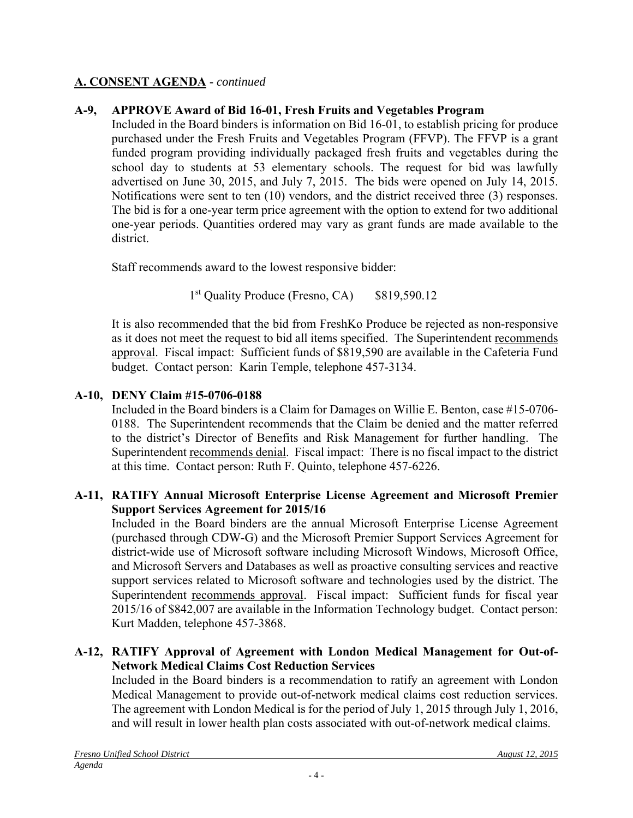## **A-9, APPROVE Award of Bid 16-01, Fresh Fruits and Vegetables Program**

Included in the Board binders is information on Bid 16-01, to establish pricing for produce purchased under the Fresh Fruits and Vegetables Program (FFVP). The FFVP is a grant funded program providing individually packaged fresh fruits and vegetables during the school day to students at 53 elementary schools. The request for bid was lawfully advertised on June 30, 2015, and July 7, 2015. The bids were opened on July 14, 2015. Notifications were sent to ten (10) vendors, and the district received three (3) responses. The bid is for a one-year term price agreement with the option to extend for two additional one-year periods. Quantities ordered may vary as grant funds are made available to the district.

Staff recommends award to the lowest responsive bidder:

1<sup>st</sup> Quality Produce (Fresno, CA) \$819,590.12

It is also recommended that the bid from FreshKo Produce be rejected as non-responsive as it does not meet the request to bid all items specified. The Superintendent recommends approval. Fiscal impact: Sufficient funds of \$819,590 are available in the Cafeteria Fund budget. Contact person: Karin Temple, telephone 457-3134.

## **A-10, DENY Claim #15-0706-0188**

Included in the Board binders is a Claim for Damages on Willie E. Benton, case #15-0706- 0188. The Superintendent recommends that the Claim be denied and the matter referred to the district's Director of Benefits and Risk Management for further handling. The Superintendent recommends denial. Fiscal impact: There is no fiscal impact to the district at this time. Contact person: Ruth F. Quinto, telephone 457-6226.

## **A-11, RATIFY Annual Microsoft Enterprise License Agreement and Microsoft Premier Support Services Agreement for 2015/16**

Included in the Board binders are the annual Microsoft Enterprise License Agreement (purchased through CDW-G) and the Microsoft Premier Support Services Agreement for district-wide use of Microsoft software including Microsoft Windows, Microsoft Office, and Microsoft Servers and Databases as well as proactive consulting services and reactive support services related to Microsoft software and technologies used by the district. The Superintendent recommends approval. Fiscal impact: Sufficient funds for fiscal year 2015/16 of \$842,007 are available in the Information Technology budget. Contact person: Kurt Madden, telephone 457-3868.

#### **A-12, RATIFY Approval of Agreement with London Medical Management for Out-of-Network Medical Claims Cost Reduction Services**

Included in the Board binders is a recommendation to ratify an agreement with London Medical Management to provide out-of-network medical claims cost reduction services. The agreement with London Medical is for the period of July 1, 2015 through July 1, 2016, and will result in lower health plan costs associated with out-of-network medical claims.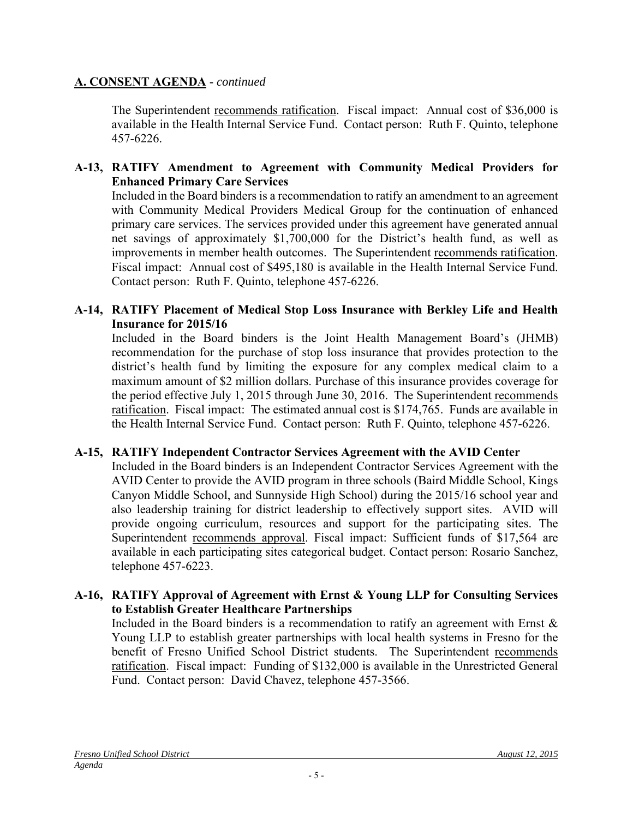The Superintendent recommends ratification. Fiscal impact: Annual cost of \$36,000 is available in the Health Internal Service Fund. Contact person: Ruth F. Quinto, telephone 457-6226.

#### **A-13, RATIFY Amendment to Agreement with Community Medical Providers for Enhanced Primary Care Services**

Included in the Board binders is a recommendation to ratify an amendment to an agreement with Community Medical Providers Medical Group for the continuation of enhanced primary care services. The services provided under this agreement have generated annual net savings of approximately \$1,700,000 for the District's health fund, as well as improvements in member health outcomes. The Superintendent recommends ratification. Fiscal impact: Annual cost of \$495,180 is available in the Health Internal Service Fund. Contact person: Ruth F. Quinto, telephone 457-6226.

#### **A-14, RATIFY Placement of Medical Stop Loss Insurance with Berkley Life and Health Insurance for 2015/16**

Included in the Board binders is the Joint Health Management Board's (JHMB) recommendation for the purchase of stop loss insurance that provides protection to the district's health fund by limiting the exposure for any complex medical claim to a maximum amount of \$2 million dollars. Purchase of this insurance provides coverage for the period effective July 1, 2015 through June 30, 2016. The Superintendent recommends ratification. Fiscal impact: The estimated annual cost is \$174,765. Funds are available in the Health Internal Service Fund. Contact person: Ruth F. Quinto, telephone 457-6226.

#### **A-15, RATIFY Independent Contractor Services Agreement with the AVID Center**

Included in the Board binders is an Independent Contractor Services Agreement with the AVID Center to provide the AVID program in three schools (Baird Middle School, Kings Canyon Middle School, and Sunnyside High School) during the 2015/16 school year and also leadership training for district leadership to effectively support sites. AVID will provide ongoing curriculum, resources and support for the participating sites. The Superintendent recommends approval. Fiscal impact: Sufficient funds of \$17,564 are available in each participating sites categorical budget. Contact person: Rosario Sanchez, telephone 457-6223.

#### **A-16, RATIFY Approval of Agreement with Ernst & Young LLP for Consulting Services to Establish Greater Healthcare Partnerships**

Included in the Board binders is a recommendation to ratify an agreement with Ernst  $\&$ Young LLP to establish greater partnerships with local health systems in Fresno for the benefit of Fresno Unified School District students. The Superintendent recommends ratification. Fiscal impact: Funding of \$132,000 is available in the Unrestricted General Fund. Contact person: David Chavez, telephone 457-3566.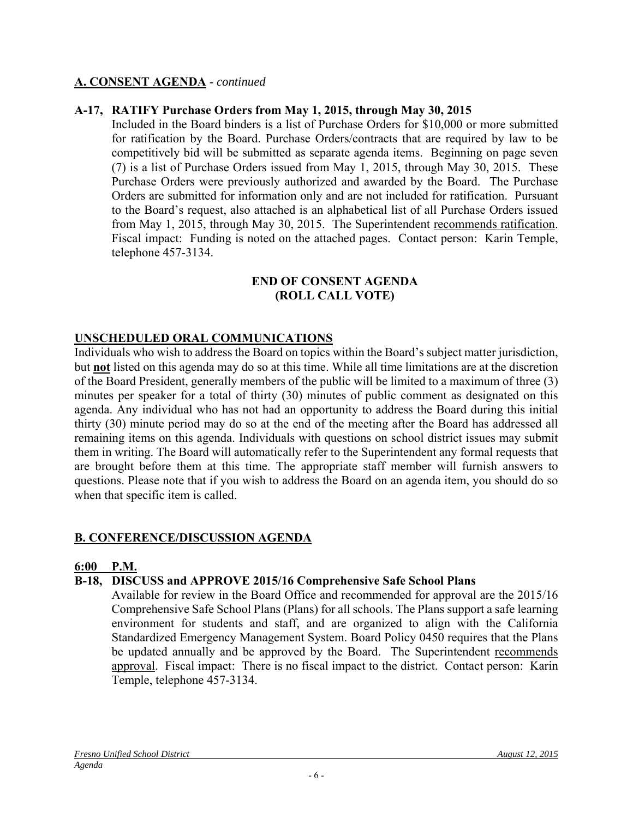#### **A-17, RATIFY Purchase Orders from May 1, 2015, through May 30, 2015**

Included in the Board binders is a list of Purchase Orders for \$10,000 or more submitted for ratification by the Board. Purchase Orders/contracts that are required by law to be competitively bid will be submitted as separate agenda items. Beginning on page seven (7) is a list of Purchase Orders issued from May 1, 2015, through May 30, 2015. These Purchase Orders were previously authorized and awarded by the Board. The Purchase Orders are submitted for information only and are not included for ratification. Pursuant to the Board's request, also attached is an alphabetical list of all Purchase Orders issued from May 1, 2015, through May 30, 2015. The Superintendent recommends ratification. Fiscal impact: Funding is noted on the attached pages. Contact person: Karin Temple, telephone 457-3134.

#### **END OF CONSENT AGENDA (ROLL CALL VOTE)**

#### **UNSCHEDULED ORAL COMMUNICATIONS**

Individuals who wish to address the Board on topics within the Board's subject matter jurisdiction, but **not** listed on this agenda may do so at this time. While all time limitations are at the discretion of the Board President, generally members of the public will be limited to a maximum of three (3) minutes per speaker for a total of thirty (30) minutes of public comment as designated on this agenda. Any individual who has not had an opportunity to address the Board during this initial thirty (30) minute period may do so at the end of the meeting after the Board has addressed all remaining items on this agenda. Individuals with questions on school district issues may submit them in writing. The Board will automatically refer to the Superintendent any formal requests that are brought before them at this time. The appropriate staff member will furnish answers to questions. Please note that if you wish to address the Board on an agenda item, you should do so when that specific item is called.

#### **B. CONFERENCE/DISCUSSION AGENDA**

#### **6:00 P.M.**

#### **B-18, DISCUSS and APPROVE 2015/16 Comprehensive Safe School Plans**

Available for review in the Board Office and recommended for approval are the 2015/16 Comprehensive Safe School Plans (Plans) for all schools. The Plans support a safe learning environment for students and staff, and are organized to align with the California Standardized Emergency Management System. Board Policy 0450 requires that the Plans be updated annually and be approved by the Board. The Superintendent recommends approval. Fiscal impact: There is no fiscal impact to the district. Contact person: Karin Temple, telephone 457-3134.